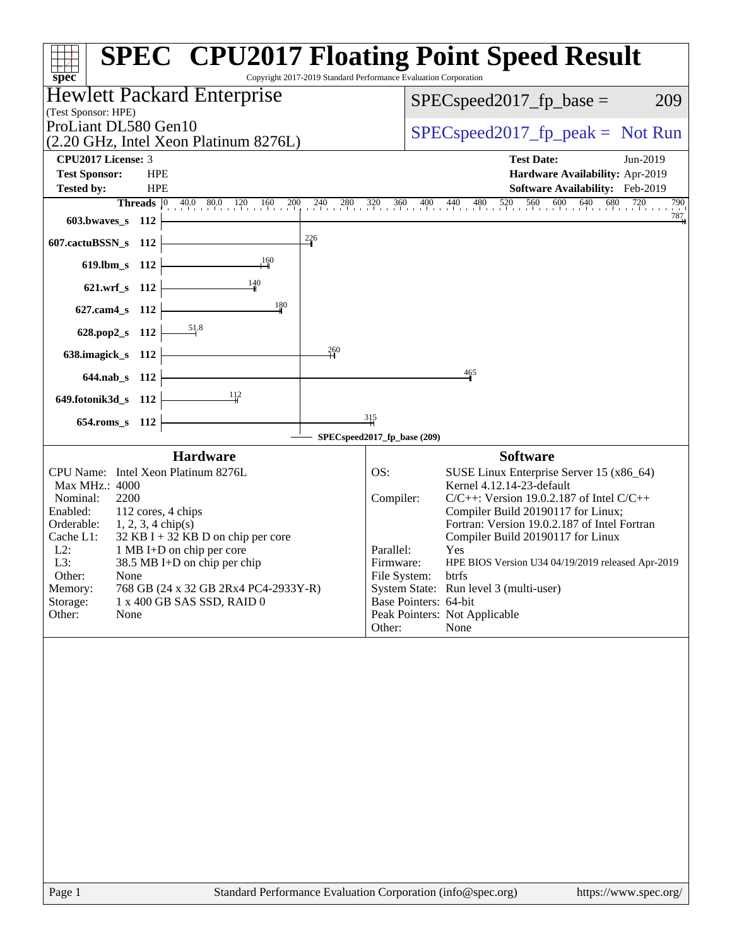| Copyright 2017-2019 Standard Performance Evaluation Corporation<br>$spec^*$                                                                                                                                                                                                                                                                                                                                                            | <b>SPEC<sup>®</sup> CPU2017 Floating Point Speed Result</b>                                                                                                                                                                                                                                                                                                                                                                                                                                                                   |
|----------------------------------------------------------------------------------------------------------------------------------------------------------------------------------------------------------------------------------------------------------------------------------------------------------------------------------------------------------------------------------------------------------------------------------------|-------------------------------------------------------------------------------------------------------------------------------------------------------------------------------------------------------------------------------------------------------------------------------------------------------------------------------------------------------------------------------------------------------------------------------------------------------------------------------------------------------------------------------|
| <b>Hewlett Packard Enterprise</b>                                                                                                                                                                                                                                                                                                                                                                                                      | 209<br>$SPEC speed2017fp base =$                                                                                                                                                                                                                                                                                                                                                                                                                                                                                              |
| (Test Sponsor: HPE)<br>ProLiant DL580 Gen10                                                                                                                                                                                                                                                                                                                                                                                            |                                                                                                                                                                                                                                                                                                                                                                                                                                                                                                                               |
| (2.20 GHz, Intel Xeon Platinum 8276L)                                                                                                                                                                                                                                                                                                                                                                                                  | $SPEC speed2017fr peak = Not Run$                                                                                                                                                                                                                                                                                                                                                                                                                                                                                             |
| CPU2017 License: 3                                                                                                                                                                                                                                                                                                                                                                                                                     | <b>Test Date:</b><br>Jun-2019                                                                                                                                                                                                                                                                                                                                                                                                                                                                                                 |
| <b>Test Sponsor:</b><br><b>HPE</b>                                                                                                                                                                                                                                                                                                                                                                                                     | Hardware Availability: Apr-2019                                                                                                                                                                                                                                                                                                                                                                                                                                                                                               |
| <b>Tested by:</b><br><b>HPE</b><br><b>Threads</b> $\vert 0 \vert$                                                                                                                                                                                                                                                                                                                                                                      | Software Availability: Feb-2019                                                                                                                                                                                                                                                                                                                                                                                                                                                                                               |
| $40.0$ $80.0$ $120$ $160$ $200$<br>603.bwaves_s<br>- 112                                                                                                                                                                                                                                                                                                                                                                               | $240$ $280$ $320$ $360$ $400$ $440$ $480$ $520$ $560$ $600$ $640$ $680$ $720$ $790$<br>787                                                                                                                                                                                                                                                                                                                                                                                                                                    |
| $\frac{226}{1}$                                                                                                                                                                                                                                                                                                                                                                                                                        |                                                                                                                                                                                                                                                                                                                                                                                                                                                                                                                               |
| 607.cactuBSSN_s 112<br>$\frac{160}{2}$                                                                                                                                                                                                                                                                                                                                                                                                 |                                                                                                                                                                                                                                                                                                                                                                                                                                                                                                                               |
| $619.$ lbm_s<br>112                                                                                                                                                                                                                                                                                                                                                                                                                    |                                                                                                                                                                                                                                                                                                                                                                                                                                                                                                                               |
| 140<br>621.wrf_s 112                                                                                                                                                                                                                                                                                                                                                                                                                   |                                                                                                                                                                                                                                                                                                                                                                                                                                                                                                                               |
| 180<br>627.cam4_s 112                                                                                                                                                                                                                                                                                                                                                                                                                  |                                                                                                                                                                                                                                                                                                                                                                                                                                                                                                                               |
| 628.pop2_s 112                                                                                                                                                                                                                                                                                                                                                                                                                         |                                                                                                                                                                                                                                                                                                                                                                                                                                                                                                                               |
| 260<br>638.imagick_s 112                                                                                                                                                                                                                                                                                                                                                                                                               |                                                                                                                                                                                                                                                                                                                                                                                                                                                                                                                               |
| 644.nab_s 112                                                                                                                                                                                                                                                                                                                                                                                                                          | 465                                                                                                                                                                                                                                                                                                                                                                                                                                                                                                                           |
| -112                                                                                                                                                                                                                                                                                                                                                                                                                                   |                                                                                                                                                                                                                                                                                                                                                                                                                                                                                                                               |
| 649.fotonik3d_s 112                                                                                                                                                                                                                                                                                                                                                                                                                    |                                                                                                                                                                                                                                                                                                                                                                                                                                                                                                                               |
| $654$ .roms_s<br>112                                                                                                                                                                                                                                                                                                                                                                                                                   | $\frac{315}{1}$                                                                                                                                                                                                                                                                                                                                                                                                                                                                                                               |
|                                                                                                                                                                                                                                                                                                                                                                                                                                        | SPECspeed2017_fp_base (209)                                                                                                                                                                                                                                                                                                                                                                                                                                                                                                   |
| <b>Hardware</b><br>CPU Name: Intel Xeon Platinum 8276L<br>Max MHz.: 4000<br>2200<br>Nominal:<br>112 cores, 4 chips<br>Enabled:<br>Orderable:<br>$1, 2, 3, 4$ chip(s)<br>32 KB I + 32 KB D on chip per core<br>Cache L1:<br>$L2$ :<br>1 MB I+D on chip per core<br>L3:<br>38.5 MB I+D on chip per chip<br>Other:<br>None<br>Memory:<br>768 GB (24 x 32 GB 2Rx4 PC4-2933Y-R)<br>Storage:<br>1 x 400 GB SAS SSD, RAID 0<br>Other:<br>None | <b>Software</b><br>OS:<br>SUSE Linux Enterprise Server 15 (x86_64)<br>Kernel 4.12.14-23-default<br>$C/C++$ : Version 19.0.2.187 of Intel $C/C++$<br>Compiler:<br>Compiler Build 20190117 for Linux;<br>Fortran: Version 19.0.2.187 of Intel Fortran<br>Compiler Build 20190117 for Linux<br>Parallel:<br>Yes<br>Firmware:<br>HPE BIOS Version U34 04/19/2019 released Apr-2019<br>File System:<br>btrfs<br>System State: Run level 3 (multi-user)<br>Base Pointers: 64-bit<br>Peak Pointers: Not Applicable<br>Other:<br>None |
|                                                                                                                                                                                                                                                                                                                                                                                                                                        |                                                                                                                                                                                                                                                                                                                                                                                                                                                                                                                               |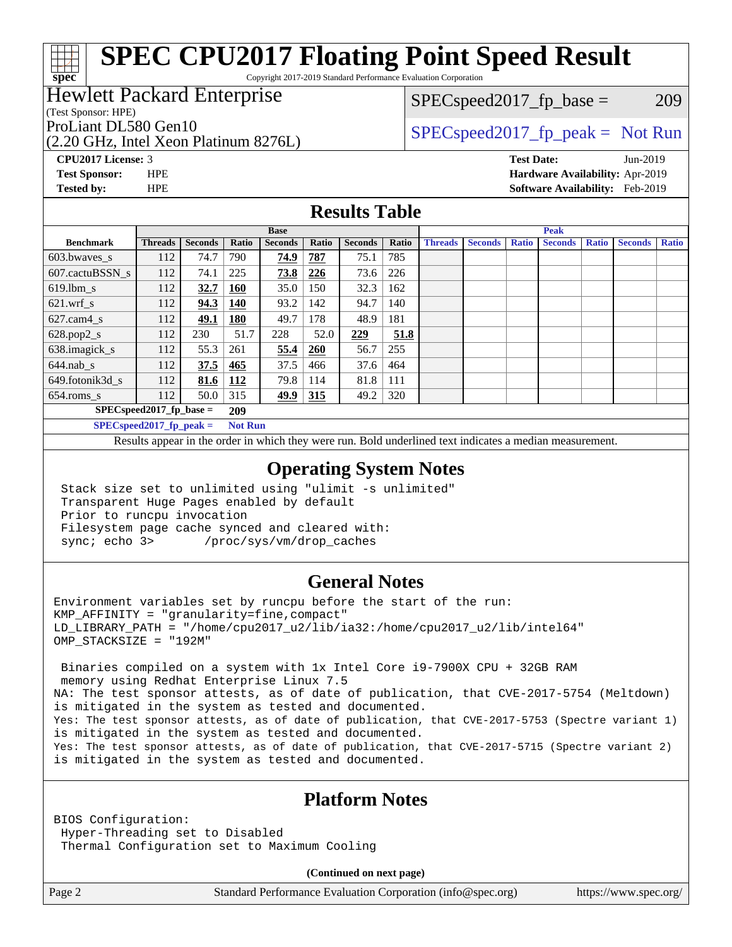Copyright 2017-2019 Standard Performance Evaluation Corporation

### Hewlett Packard Enterprise

(Test Sponsor: HPE)

**[spec](http://www.spec.org/)**

 $SPEC speed2017_fp\_base = 209$ 

(2.20 GHz, Intel Xeon Platinum 8276L)

ProLiant DL580 Gen10  $SPEC speed2017$  fp\_peak = Not Run

**[CPU2017 License:](http://www.spec.org/auto/cpu2017/Docs/result-fields.html#CPU2017License)** 3 **[Test Date:](http://www.spec.org/auto/cpu2017/Docs/result-fields.html#TestDate)** Jun-2019 **[Test Sponsor:](http://www.spec.org/auto/cpu2017/Docs/result-fields.html#TestSponsor)** HPE **[Hardware Availability:](http://www.spec.org/auto/cpu2017/Docs/result-fields.html#HardwareAvailability)** Apr-2019 **[Tested by:](http://www.spec.org/auto/cpu2017/Docs/result-fields.html#Testedby)** HPE **[Software Availability:](http://www.spec.org/auto/cpu2017/Docs/result-fields.html#SoftwareAvailability)** Feb-2019

### **[Results Table](http://www.spec.org/auto/cpu2017/Docs/result-fields.html#ResultsTable)**

|                                                   | <b>Base</b>    |                |            |                |       | <b>Peak</b>    |       |                |                |              |                |              |                |              |
|---------------------------------------------------|----------------|----------------|------------|----------------|-------|----------------|-------|----------------|----------------|--------------|----------------|--------------|----------------|--------------|
| <b>Benchmark</b>                                  | <b>Threads</b> | <b>Seconds</b> | Ratio      | <b>Seconds</b> | Ratio | <b>Seconds</b> | Ratio | <b>Threads</b> | <b>Seconds</b> | <b>Ratio</b> | <b>Seconds</b> | <b>Ratio</b> | <b>Seconds</b> | <b>Ratio</b> |
| $603.bwaves$ s                                    | 112            | 74.7           | 790        | 74.9           | 787   | 75.1           | 785   |                |                |              |                |              |                |              |
| 607.cactuBSSN s                                   | 112            | 74.1           | 225        | 73.8           | 226   | 73.6           | 226   |                |                |              |                |              |                |              |
| $619.1$ bm s                                      | 112            | 32.7           | 160        | 35.0           | 150   | 32.3           | 162   |                |                |              |                |              |                |              |
| $621.wrf$ s                                       | 112            | 94.3           | 140        | 93.2           | 142   | 94.7           | 140   |                |                |              |                |              |                |              |
| $627$ .cam $4$ <sub>s</sub>                       | 112            | 49.1           | <b>180</b> | 49.7           | 178   | 48.9           | 181   |                |                |              |                |              |                |              |
| $628.pop2_s$                                      | 112            | 230            | 51.7       | 228            | 52.0  | 229            | 51.8  |                |                |              |                |              |                |              |
| 638.imagick_s                                     | 112            | 55.3           | 261        | 55.4           | 260   | 56.7           | 255   |                |                |              |                |              |                |              |
| $644$ .nab s                                      | 112            | 37.5           | 465        | 37.5           | 466   | 37.6           | 464   |                |                |              |                |              |                |              |
| 649.fotonik3d s                                   | 112            | 81.6           | 112        | 79.8           | 114   | 81.8           | 111   |                |                |              |                |              |                |              |
| $654$ .roms s                                     | 112            | 50.0           | 315        | 49.9           | 315   | 49.2           | 320   |                |                |              |                |              |                |              |
| $SPEC speed2017$ fp base =<br>209                 |                |                |            |                |       |                |       |                |                |              |                |              |                |              |
| $CDDAC = -30047$ for $z = 1$ .<br>$M = 4$ $M = 1$ |                |                |            |                |       |                |       |                |                |              |                |              |                |              |

**[SPECspeed2017\\_fp\\_peak =](http://www.spec.org/auto/cpu2017/Docs/result-fields.html#SPECspeed2017fppeak) Not Run**

Results appear in the [order in which they were run.](http://www.spec.org/auto/cpu2017/Docs/result-fields.html#RunOrder) Bold underlined text [indicates a median measurement](http://www.spec.org/auto/cpu2017/Docs/result-fields.html#Median).

### **[Operating System Notes](http://www.spec.org/auto/cpu2017/Docs/result-fields.html#OperatingSystemNotes)**

 Stack size set to unlimited using "ulimit -s unlimited" Transparent Huge Pages enabled by default Prior to runcpu invocation Filesystem page cache synced and cleared with: sync; echo 3> /proc/sys/vm/drop\_caches

### **[General Notes](http://www.spec.org/auto/cpu2017/Docs/result-fields.html#GeneralNotes)**

Environment variables set by runcpu before the start of the run:  $KMP$  AFFINITY = "granularity=fine, compact" LD\_LIBRARY\_PATH = "/home/cpu2017\_u2/lib/ia32:/home/cpu2017\_u2/lib/intel64" OMP\_STACKSIZE = "192M"

 Binaries compiled on a system with 1x Intel Core i9-7900X CPU + 32GB RAM memory using Redhat Enterprise Linux 7.5 NA: The test sponsor attests, as of date of publication, that CVE-2017-5754 (Meltdown) is mitigated in the system as tested and documented. Yes: The test sponsor attests, as of date of publication, that CVE-2017-5753 (Spectre variant 1) is mitigated in the system as tested and documented. Yes: The test sponsor attests, as of date of publication, that CVE-2017-5715 (Spectre variant 2) is mitigated in the system as tested and documented.

### **[Platform Notes](http://www.spec.org/auto/cpu2017/Docs/result-fields.html#PlatformNotes)**

BIOS Configuration: Hyper-Threading set to Disabled Thermal Configuration set to Maximum Cooling

**(Continued on next page)**

Page 2 Standard Performance Evaluation Corporation [\(info@spec.org\)](mailto:info@spec.org) <https://www.spec.org/>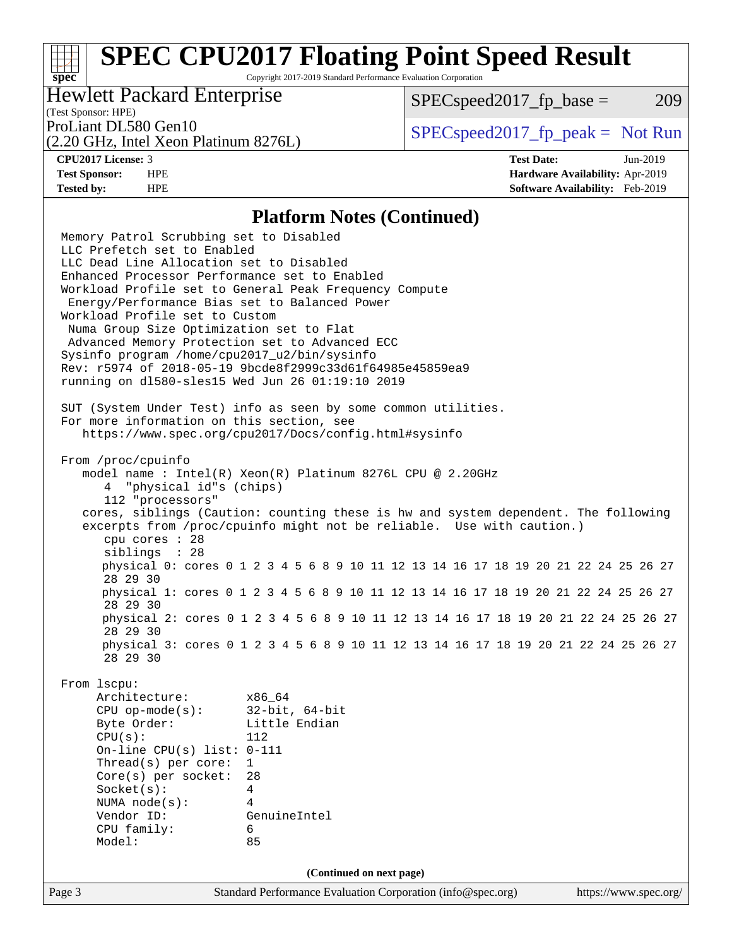Copyright 2017-2019 Standard Performance Evaluation Corporation

### Hewlett Packard Enterprise

 $SPEC speed2017_fp\_base = 209$ 

## (Test Sponsor: HPE)

(2.20 GHz, Intel Xeon Platinum 8276L)

ProLiant DL580 Gen10  $SPEC speed2017$  [p\_peak = Not Run

**[spec](http://www.spec.org/)**

**[CPU2017 License:](http://www.spec.org/auto/cpu2017/Docs/result-fields.html#CPU2017License)** 3 **[Test Date:](http://www.spec.org/auto/cpu2017/Docs/result-fields.html#TestDate)** Jun-2019 **[Test Sponsor:](http://www.spec.org/auto/cpu2017/Docs/result-fields.html#TestSponsor)** HPE **[Hardware Availability:](http://www.spec.org/auto/cpu2017/Docs/result-fields.html#HardwareAvailability)** Apr-2019 **[Tested by:](http://www.spec.org/auto/cpu2017/Docs/result-fields.html#Testedby)** HPE **[Software Availability:](http://www.spec.org/auto/cpu2017/Docs/result-fields.html#SoftwareAvailability)** Feb-2019

### **[Platform Notes \(Continued\)](http://www.spec.org/auto/cpu2017/Docs/result-fields.html#PlatformNotes)**

Page 3 Standard Performance Evaluation Corporation [\(info@spec.org\)](mailto:info@spec.org) <https://www.spec.org/> Memory Patrol Scrubbing set to Disabled LLC Prefetch set to Enabled LLC Dead Line Allocation set to Disabled Enhanced Processor Performance set to Enabled Workload Profile set to General Peak Frequency Compute Energy/Performance Bias set to Balanced Power Workload Profile set to Custom Numa Group Size Optimization set to Flat Advanced Memory Protection set to Advanced ECC Sysinfo program /home/cpu2017\_u2/bin/sysinfo Rev: r5974 of 2018-05-19 9bcde8f2999c33d61f64985e45859ea9 running on dl580-sles15 Wed Jun 26 01:19:10 2019 SUT (System Under Test) info as seen by some common utilities. For more information on this section, see <https://www.spec.org/cpu2017/Docs/config.html#sysinfo> From /proc/cpuinfo model name : Intel(R) Xeon(R) Platinum 8276L CPU @ 2.20GHz 4 "physical id"s (chips) 112 "processors" cores, siblings (Caution: counting these is hw and system dependent. The following excerpts from /proc/cpuinfo might not be reliable. Use with caution.) cpu cores : 28 siblings : 28 physical 0: cores 0 1 2 3 4 5 6 8 9 10 11 12 13 14 16 17 18 19 20 21 22 24 25 26 27 28 29 30 physical 1: cores 0 1 2 3 4 5 6 8 9 10 11 12 13 14 16 17 18 19 20 21 22 24 25 26 27 28 29 30 physical 2: cores 0 1 2 3 4 5 6 8 9 10 11 12 13 14 16 17 18 19 20 21 22 24 25 26 27 28 29 30 physical 3: cores 0 1 2 3 4 5 6 8 9 10 11 12 13 14 16 17 18 19 20 21 22 24 25 26 27 28 29 30 From lscpu: Architecture: x86\_64 CPU op-mode(s): 32-bit, 64-bit Byte Order: Little Endian CPU(s): 112 On-line CPU(s) list: 0-111 Thread(s) per core: 1 Core(s) per socket: 28 Socket(s): 4 NUMA node(s): 4 Vendor ID: GenuineIntel CPU family: 6 Model: 85 **(Continued on next page)**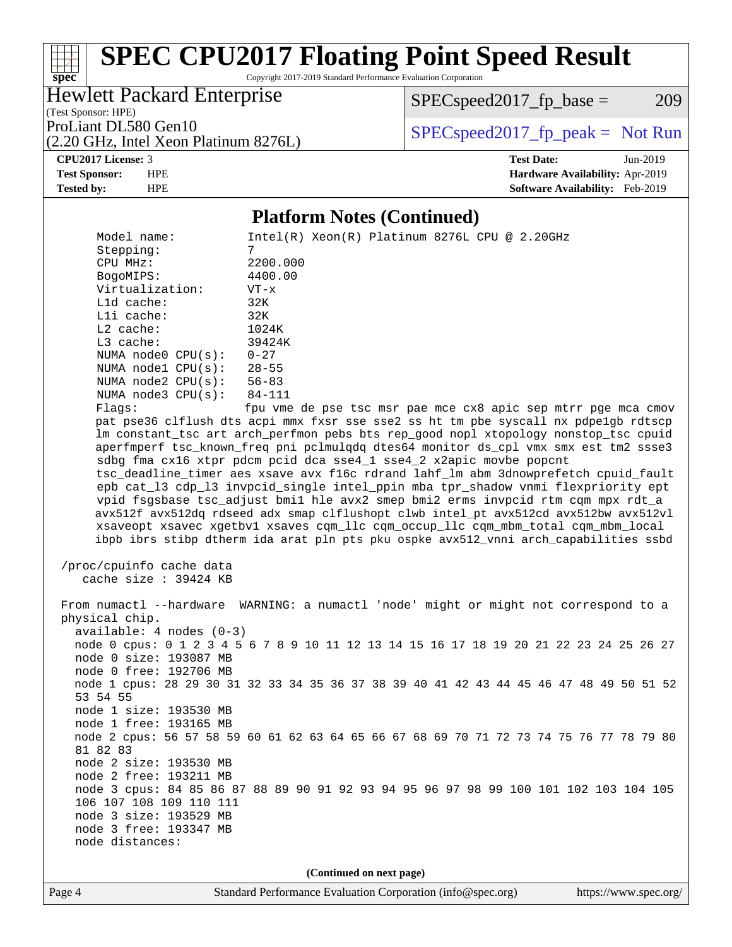Copyright 2017-2019 Standard Performance Evaluation Corporation

Hewlett Packard Enterprise

(2.20 GHz, Intel Xeon Platinum 8276L)

 $SPEC speed2017_fp\_base = 209$ 

(Test Sponsor: HPE)

ProLiant DL580 Gen10  $SPEC speed2017$  [p\_peak = Not Run

#### **[CPU2017 License:](http://www.spec.org/auto/cpu2017/Docs/result-fields.html#CPU2017License)** 3 **[Test Date:](http://www.spec.org/auto/cpu2017/Docs/result-fields.html#TestDate)** Jun-2019 **[Test Sponsor:](http://www.spec.org/auto/cpu2017/Docs/result-fields.html#TestSponsor)** HPE **[Hardware Availability:](http://www.spec.org/auto/cpu2017/Docs/result-fields.html#HardwareAvailability)** Apr-2019 **[Tested by:](http://www.spec.org/auto/cpu2017/Docs/result-fields.html#Testedby)** HPE **[Software Availability:](http://www.spec.org/auto/cpu2017/Docs/result-fields.html#SoftwareAvailability)** Feb-2019

### **[Platform Notes \(Continued\)](http://www.spec.org/auto/cpu2017/Docs/result-fields.html#PlatformNotes)**

Model name: Intel(R) Xeon(R) Platinum 8276L CPU @ 2.20GHz Stepping: 7 CPU MHz: 2200.000 BogoMIPS: 4400.00 Virtualization: VT-x L1d cache: 32K L1i cache: 32K L2 cache: 1024K<br>
L3 cache: 39424K  $L3$  cache: NUMA node0 CPU(s): 0-27 NUMA node1 CPU(s): 28-55<br>NUMA node2 CPU(s): 56-83 NUMA node2  $CPU(s):$  NUMA node3 CPU(s): 84-111 Flags: fpu vme de pse tsc msr pae mce cx8 apic sep mtrr pge mca cmov pat pse36 clflush dts acpi mmx fxsr sse sse2 ss ht tm pbe syscall nx pdpe1gb rdtscp lm constant\_tsc art arch\_perfmon pebs bts rep\_good nopl xtopology nonstop\_tsc cpuid aperfmperf tsc\_known\_freq pni pclmulqdq dtes64 monitor ds\_cpl vmx smx est tm2 ssse3 sdbg fma cx16 xtpr pdcm pcid dca sse4\_1 sse4\_2 x2apic movbe popcnt tsc\_deadline\_timer aes xsave avx f16c rdrand lahf\_lm abm 3dnowprefetch cpuid\_fault epb cat\_l3 cdp\_l3 invpcid\_single intel\_ppin mba tpr\_shadow vnmi flexpriority ept vpid fsgsbase tsc\_adjust bmi1 hle avx2 smep bmi2 erms invpcid rtm cqm mpx rdt\_a avx512f avx512dq rdseed adx smap clflushopt clwb intel\_pt avx512cd avx512bw avx512vl xsaveopt xsavec xgetbv1 xsaves cqm\_llc cqm\_occup\_llc cqm\_mbm\_total cqm\_mbm\_local ibpb ibrs stibp dtherm ida arat pln pts pku ospke avx512\_vnni arch\_capabilities ssbd /proc/cpuinfo cache data cache size : 39424 KB From numactl --hardware WARNING: a numactl 'node' might or might not correspond to a physical chip. available: 4 nodes (0-3) node 0 cpus: 0 1 2 3 4 5 6 7 8 9 10 11 12 13 14 15 16 17 18 19 20 21 22 23 24 25 26 27 node 0 size: 193087 MB node 0 free: 192706 MB node 1 cpus: 28 29 30 31 32 33 34 35 36 37 38 39 40 41 42 43 44 45 46 47 48 49 50 51 52 53 54 55 node 1 size: 193530 MB node 1 free: 193165 MB node 2 cpus: 56 57 58 59 60 61 62 63 64 65 66 67 68 69 70 71 72 73 74 75 76 77 78 79 80 81 82 83 node 2 size: 193530 MB node 2 free: 193211 MB node 3 cpus: 84 85 86 87 88 89 90 91 92 93 94 95 96 97 98 99 100 101 102 103 104 105 106 107 108 109 110 111 node 3 size: 193529 MB node 3 free: 193347 MB node distances: **(Continued on next page)**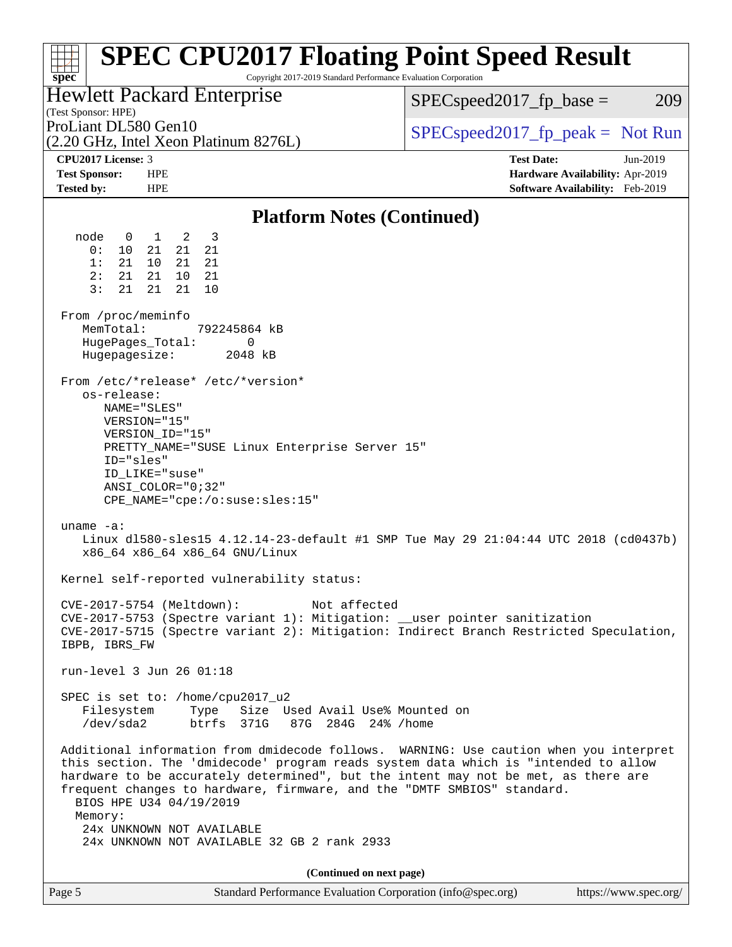| <b>SPEC CPU2017 Floating Point Speed Result</b><br>Copyright 2017-2019 Standard Performance Evaluation Corporation<br>$spec^*$                                                                                                                                                                                                                                                                                                                                                                                                                                                                                                                                                                 |                                                                  |
|------------------------------------------------------------------------------------------------------------------------------------------------------------------------------------------------------------------------------------------------------------------------------------------------------------------------------------------------------------------------------------------------------------------------------------------------------------------------------------------------------------------------------------------------------------------------------------------------------------------------------------------------------------------------------------------------|------------------------------------------------------------------|
| <b>Hewlett Packard Enterprise</b><br>(Test Sponsor: HPE)                                                                                                                                                                                                                                                                                                                                                                                                                                                                                                                                                                                                                                       | $SPEC speed2017_fp\_base =$<br>209                               |
| ProLiant DL580 Gen10<br>(2.20 GHz, Intel Xeon Platinum 8276L)                                                                                                                                                                                                                                                                                                                                                                                                                                                                                                                                                                                                                                  | $SPEC speed2017fr peak = Not Run$                                |
| CPU2017 License: 3<br><b>Test Sponsor:</b><br><b>HPE</b>                                                                                                                                                                                                                                                                                                                                                                                                                                                                                                                                                                                                                                       | <b>Test Date:</b><br>Jun-2019<br>Hardware Availability: Apr-2019 |
| <b>Tested by:</b><br><b>HPE</b>                                                                                                                                                                                                                                                                                                                                                                                                                                                                                                                                                                                                                                                                | Software Availability: Feb-2019                                  |
| <b>Platform Notes (Continued)</b>                                                                                                                                                                                                                                                                                                                                                                                                                                                                                                                                                                                                                                                              |                                                                  |
| node<br>1 2<br>$\overline{\mathbf{3}}$<br>$\overline{0}$<br>0:<br>10<br>21<br>21<br>21<br>1:<br>21<br>10 <sup>1</sup><br>21<br>21<br>21<br>21<br>10<br>2:<br>- 21<br>3:<br>21<br>21<br>21<br>10<br>From /proc/meminfo<br>MemTotal:<br>792245864 kB<br>0<br>HugePages_Total:<br>Hugepagesize:<br>2048 kB<br>From /etc/*release* /etc/*version*<br>os-release:<br>NAME="SLES"<br>VERSION="15"<br>VERSION_ID="15"<br>PRETTY_NAME="SUSE Linux Enterprise Server 15"<br>ID="sles"<br>ID LIKE="suse"<br>ANSI COLOR="0;32"<br>CPE_NAME="cpe:/o:suse:sles:15"<br>uname $-a$ :<br>Linux d1580-sles15 4.12.14-23-default #1 SMP Tue May 29 21:04:44 UTC 2018 (cd0437b)<br>x86_64 x86_64 x86_64 GNU/Linux |                                                                  |
| Kernel self-reported vulnerability status:                                                                                                                                                                                                                                                                                                                                                                                                                                                                                                                                                                                                                                                     |                                                                  |
| Not affected<br>CVE-2017-5754 (Meltdown):<br>CVE-2017-5753 (Spectre variant 1): Mitigation: __user pointer sanitization<br>CVE-2017-5715 (Spectre variant 2): Mitigation: Indirect Branch Restricted Speculation,<br>IBPB, IBRS_FW                                                                                                                                                                                                                                                                                                                                                                                                                                                             |                                                                  |
| run-level 3 Jun 26 01:18                                                                                                                                                                                                                                                                                                                                                                                                                                                                                                                                                                                                                                                                       |                                                                  |
| SPEC is set to: /home/cpu2017_u2<br>Type Size Used Avail Use% Mounted on<br>Filesystem<br>/dev/sda2<br>btrfs 371G<br>87G 284G 24% / home                                                                                                                                                                                                                                                                                                                                                                                                                                                                                                                                                       |                                                                  |
| Additional information from dmidecode follows. WARNING: Use caution when you interpret<br>this section. The 'dmidecode' program reads system data which is "intended to allow<br>hardware to be accurately determined", but the intent may not be met, as there are<br>frequent changes to hardware, firmware, and the "DMTF SMBIOS" standard.<br>BIOS HPE U34 04/19/2019<br>Memory:<br>24x UNKNOWN NOT AVAILABLE<br>24x UNKNOWN NOT AVAILABLE 32 GB 2 rank 2933                                                                                                                                                                                                                               |                                                                  |
| (Continued on next page)                                                                                                                                                                                                                                                                                                                                                                                                                                                                                                                                                                                                                                                                       |                                                                  |
| Standard Performance Evaluation Corporation (info@spec.org)<br>Page 5                                                                                                                                                                                                                                                                                                                                                                                                                                                                                                                                                                                                                          | https://www.spec.org/                                            |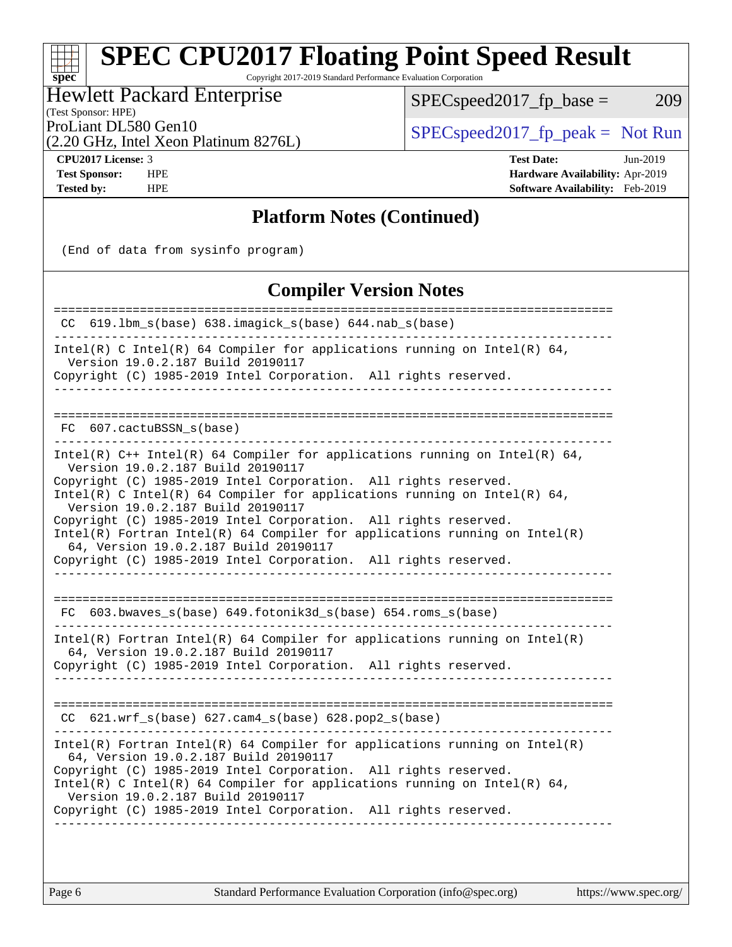Copyright 2017-2019 Standard Performance Evaluation Corporation

Hewlett Packard Enterprise

 $SPEC speed2017_fp\_base = 209$ 

(Test Sponsor: HPE)

ProLiant DL580 Gen10<br>  $\begin{array}{c|c}\n\text{SPEC speed2017\_fp\_peak} = \text{Not Run} \\
\hline\n\end{array}$ 

(2.20 GHz, Intel Xeon Platinum 8276L)

**[spec](http://www.spec.org/)**

**[CPU2017 License:](http://www.spec.org/auto/cpu2017/Docs/result-fields.html#CPU2017License)** 3 **[Test Date:](http://www.spec.org/auto/cpu2017/Docs/result-fields.html#TestDate)** Jun-2019 **[Test Sponsor:](http://www.spec.org/auto/cpu2017/Docs/result-fields.html#TestSponsor)** HPE **[Hardware Availability:](http://www.spec.org/auto/cpu2017/Docs/result-fields.html#HardwareAvailability)** Apr-2019 **[Tested by:](http://www.spec.org/auto/cpu2017/Docs/result-fields.html#Testedby)** HPE **[Software Availability:](http://www.spec.org/auto/cpu2017/Docs/result-fields.html#SoftwareAvailability)** Feb-2019

### **[Platform Notes \(Continued\)](http://www.spec.org/auto/cpu2017/Docs/result-fields.html#PlatformNotes)**

(End of data from sysinfo program)

### **[Compiler Version Notes](http://www.spec.org/auto/cpu2017/Docs/result-fields.html#CompilerVersionNotes)**

| CC 619.1bm_s(base) 638.imagick_s(base) 644.nab_s(base)                                                                                                                                                                      |
|-----------------------------------------------------------------------------------------------------------------------------------------------------------------------------------------------------------------------------|
| Intel(R) C Intel(R) 64 Compiler for applications running on Intel(R) 64,<br>Version 19.0.2.187 Build 20190117<br>Copyright (C) 1985-2019 Intel Corporation. All rights reserved.                                            |
|                                                                                                                                                                                                                             |
| FC 607.cactuBSSN s(base)                                                                                                                                                                                                    |
| Intel(R) $C++$ Intel(R) 64 Compiler for applications running on Intel(R) 64,<br>Version 19.0.2.187 Build 20190117<br>Copyright (C) 1985-2019 Intel Corporation. All rights reserved.                                        |
| Intel(R) C Intel(R) 64 Compiler for applications running on Intel(R) 64,<br>Version 19.0.2.187 Build 20190117                                                                                                               |
| Copyright (C) 1985-2019 Intel Corporation. All rights reserved.<br>$Intel(R)$ Fortran Intel(R) 64 Compiler for applications running on Intel(R)<br>64, Version 19.0.2.187 Build 20190117                                    |
| Copyright (C) 1985-2019 Intel Corporation. All rights reserved.                                                                                                                                                             |
| FC 603.bwaves_s(base) 649.fotonik3d_s(base) 654.roms_s(base)                                                                                                                                                                |
| Intel(R) Fortran Intel(R) 64 Compiler for applications running on Intel(R)<br>64, Version 19.0.2.187 Build 20190117                                                                                                         |
| Copyright (C) 1985-2019 Intel Corporation. All rights reserved.                                                                                                                                                             |
| 621.wrf_s(base) 627.cam4_s(base) 628.pop2_s(base)<br>CC.                                                                                                                                                                    |
| $Intel(R)$ Fortran Intel(R) 64 Compiler for applications running on Intel(R)                                                                                                                                                |
| 64, Version 19.0.2.187 Build 20190117<br>Copyright (C) 1985-2019 Intel Corporation. All rights reserved.<br>$Intel(R)$ C Intel(R) 64 Compiler for applications running on Intel(R) 64,<br>Version 19.0.2.187 Build 20190117 |
| Copyright (C) 1985-2019 Intel Corporation. All rights reserved.                                                                                                                                                             |
|                                                                                                                                                                                                                             |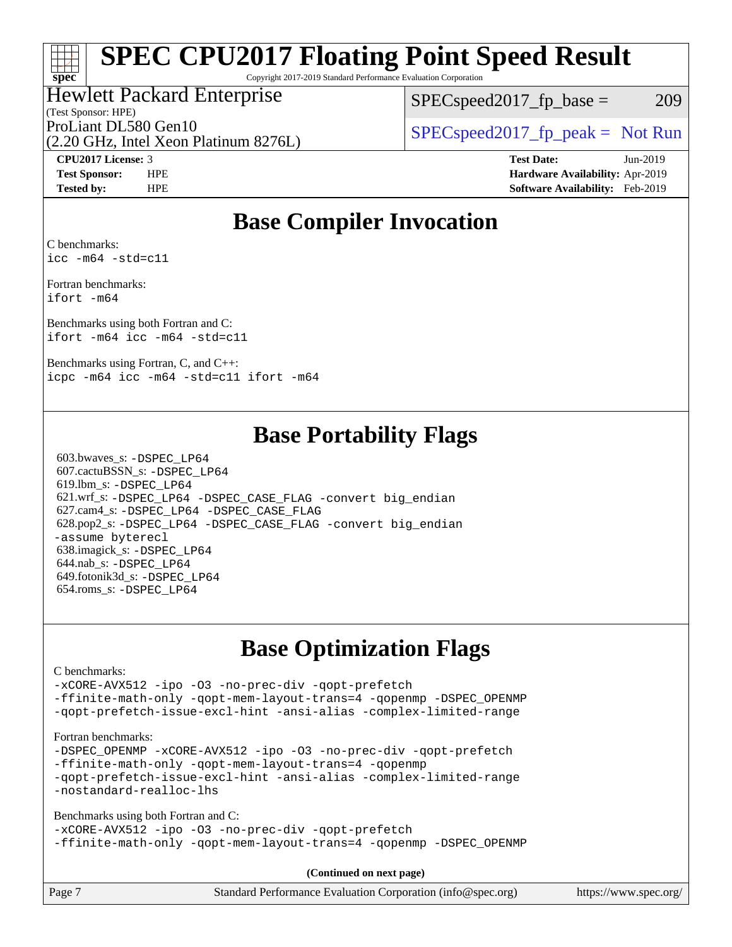Copyright 2017-2019 Standard Performance Evaluation Corporation

### Hewlett Packard Enterprise

(Test Sponsor: HPE)

 $SPEC speed2017_fp\_base = 209$ 

(2.20 GHz, Intel Xeon Platinum 8276L)

ProLiant DL580 Gen10  $SPEC speed2017$  [p\_peak = Not Run

**[spec](http://www.spec.org/)**

**[CPU2017 License:](http://www.spec.org/auto/cpu2017/Docs/result-fields.html#CPU2017License)** 3 **[Test Date:](http://www.spec.org/auto/cpu2017/Docs/result-fields.html#TestDate)** Jun-2019 **[Test Sponsor:](http://www.spec.org/auto/cpu2017/Docs/result-fields.html#TestSponsor)** HPE **[Hardware Availability:](http://www.spec.org/auto/cpu2017/Docs/result-fields.html#HardwareAvailability)** Apr-2019 **[Tested by:](http://www.spec.org/auto/cpu2017/Docs/result-fields.html#Testedby)** HPE **[Software Availability:](http://www.spec.org/auto/cpu2017/Docs/result-fields.html#SoftwareAvailability)** Feb-2019

## **[Base Compiler Invocation](http://www.spec.org/auto/cpu2017/Docs/result-fields.html#BaseCompilerInvocation)**

[C benchmarks:](http://www.spec.org/auto/cpu2017/Docs/result-fields.html#Cbenchmarks) [icc -m64 -std=c11](http://www.spec.org/cpu2017/results/res2019q3/cpu2017-20190709-16142.flags.html#user_CCbase_intel_icc_64bit_c11_33ee0cdaae7deeeab2a9725423ba97205ce30f63b9926c2519791662299b76a0318f32ddfffdc46587804de3178b4f9328c46fa7c2b0cd779d7a61945c91cd35)

[Fortran benchmarks](http://www.spec.org/auto/cpu2017/Docs/result-fields.html#Fortranbenchmarks): [ifort -m64](http://www.spec.org/cpu2017/results/res2019q3/cpu2017-20190709-16142.flags.html#user_FCbase_intel_ifort_64bit_24f2bb282fbaeffd6157abe4f878425411749daecae9a33200eee2bee2fe76f3b89351d69a8130dd5949958ce389cf37ff59a95e7a40d588e8d3a57e0c3fd751)

[Benchmarks using both Fortran and C:](http://www.spec.org/auto/cpu2017/Docs/result-fields.html#BenchmarksusingbothFortranandC) [ifort -m64](http://www.spec.org/cpu2017/results/res2019q3/cpu2017-20190709-16142.flags.html#user_CC_FCbase_intel_ifort_64bit_24f2bb282fbaeffd6157abe4f878425411749daecae9a33200eee2bee2fe76f3b89351d69a8130dd5949958ce389cf37ff59a95e7a40d588e8d3a57e0c3fd751) [icc -m64 -std=c11](http://www.spec.org/cpu2017/results/res2019q3/cpu2017-20190709-16142.flags.html#user_CC_FCbase_intel_icc_64bit_c11_33ee0cdaae7deeeab2a9725423ba97205ce30f63b9926c2519791662299b76a0318f32ddfffdc46587804de3178b4f9328c46fa7c2b0cd779d7a61945c91cd35)

[Benchmarks using Fortran, C, and C++:](http://www.spec.org/auto/cpu2017/Docs/result-fields.html#BenchmarksusingFortranCandCXX) [icpc -m64](http://www.spec.org/cpu2017/results/res2019q3/cpu2017-20190709-16142.flags.html#user_CC_CXX_FCbase_intel_icpc_64bit_4ecb2543ae3f1412ef961e0650ca070fec7b7afdcd6ed48761b84423119d1bf6bdf5cad15b44d48e7256388bc77273b966e5eb805aefd121eb22e9299b2ec9d9) [icc -m64 -std=c11](http://www.spec.org/cpu2017/results/res2019q3/cpu2017-20190709-16142.flags.html#user_CC_CXX_FCbase_intel_icc_64bit_c11_33ee0cdaae7deeeab2a9725423ba97205ce30f63b9926c2519791662299b76a0318f32ddfffdc46587804de3178b4f9328c46fa7c2b0cd779d7a61945c91cd35) [ifort -m64](http://www.spec.org/cpu2017/results/res2019q3/cpu2017-20190709-16142.flags.html#user_CC_CXX_FCbase_intel_ifort_64bit_24f2bb282fbaeffd6157abe4f878425411749daecae9a33200eee2bee2fe76f3b89351d69a8130dd5949958ce389cf37ff59a95e7a40d588e8d3a57e0c3fd751)

### **[Base Portability Flags](http://www.spec.org/auto/cpu2017/Docs/result-fields.html#BasePortabilityFlags)**

 603.bwaves\_s: [-DSPEC\\_LP64](http://www.spec.org/cpu2017/results/res2019q3/cpu2017-20190709-16142.flags.html#suite_basePORTABILITY603_bwaves_s_DSPEC_LP64) 607.cactuBSSN\_s: [-DSPEC\\_LP64](http://www.spec.org/cpu2017/results/res2019q3/cpu2017-20190709-16142.flags.html#suite_basePORTABILITY607_cactuBSSN_s_DSPEC_LP64) 619.lbm\_s: [-DSPEC\\_LP64](http://www.spec.org/cpu2017/results/res2019q3/cpu2017-20190709-16142.flags.html#suite_basePORTABILITY619_lbm_s_DSPEC_LP64) 621.wrf\_s: [-DSPEC\\_LP64](http://www.spec.org/cpu2017/results/res2019q3/cpu2017-20190709-16142.flags.html#suite_basePORTABILITY621_wrf_s_DSPEC_LP64) [-DSPEC\\_CASE\\_FLAG](http://www.spec.org/cpu2017/results/res2019q3/cpu2017-20190709-16142.flags.html#b621.wrf_s_baseCPORTABILITY_DSPEC_CASE_FLAG) [-convert big\\_endian](http://www.spec.org/cpu2017/results/res2019q3/cpu2017-20190709-16142.flags.html#user_baseFPORTABILITY621_wrf_s_convert_big_endian_c3194028bc08c63ac5d04de18c48ce6d347e4e562e8892b8bdbdc0214820426deb8554edfa529a3fb25a586e65a3d812c835984020483e7e73212c4d31a38223) 627.cam4\_s: [-DSPEC\\_LP64](http://www.spec.org/cpu2017/results/res2019q3/cpu2017-20190709-16142.flags.html#suite_basePORTABILITY627_cam4_s_DSPEC_LP64) [-DSPEC\\_CASE\\_FLAG](http://www.spec.org/cpu2017/results/res2019q3/cpu2017-20190709-16142.flags.html#b627.cam4_s_baseCPORTABILITY_DSPEC_CASE_FLAG) 628.pop2\_s: [-DSPEC\\_LP64](http://www.spec.org/cpu2017/results/res2019q3/cpu2017-20190709-16142.flags.html#suite_basePORTABILITY628_pop2_s_DSPEC_LP64) [-DSPEC\\_CASE\\_FLAG](http://www.spec.org/cpu2017/results/res2019q3/cpu2017-20190709-16142.flags.html#b628.pop2_s_baseCPORTABILITY_DSPEC_CASE_FLAG) [-convert big\\_endian](http://www.spec.org/cpu2017/results/res2019q3/cpu2017-20190709-16142.flags.html#user_baseFPORTABILITY628_pop2_s_convert_big_endian_c3194028bc08c63ac5d04de18c48ce6d347e4e562e8892b8bdbdc0214820426deb8554edfa529a3fb25a586e65a3d812c835984020483e7e73212c4d31a38223) [-assume byterecl](http://www.spec.org/cpu2017/results/res2019q3/cpu2017-20190709-16142.flags.html#user_baseFPORTABILITY628_pop2_s_assume_byterecl_7e47d18b9513cf18525430bbf0f2177aa9bf368bc7a059c09b2c06a34b53bd3447c950d3f8d6c70e3faf3a05c8557d66a5798b567902e8849adc142926523472) 638.imagick\_s: [-DSPEC\\_LP64](http://www.spec.org/cpu2017/results/res2019q3/cpu2017-20190709-16142.flags.html#suite_basePORTABILITY638_imagick_s_DSPEC_LP64) 644.nab\_s: [-DSPEC\\_LP64](http://www.spec.org/cpu2017/results/res2019q3/cpu2017-20190709-16142.flags.html#suite_basePORTABILITY644_nab_s_DSPEC_LP64) 649.fotonik3d\_s: [-DSPEC\\_LP64](http://www.spec.org/cpu2017/results/res2019q3/cpu2017-20190709-16142.flags.html#suite_basePORTABILITY649_fotonik3d_s_DSPEC_LP64) 654.roms\_s: [-DSPEC\\_LP64](http://www.spec.org/cpu2017/results/res2019q3/cpu2017-20190709-16142.flags.html#suite_basePORTABILITY654_roms_s_DSPEC_LP64)

## **[Base Optimization Flags](http://www.spec.org/auto/cpu2017/Docs/result-fields.html#BaseOptimizationFlags)**

#### [C benchmarks](http://www.spec.org/auto/cpu2017/Docs/result-fields.html#Cbenchmarks):

[-xCORE-AVX512](http://www.spec.org/cpu2017/results/res2019q3/cpu2017-20190709-16142.flags.html#user_CCbase_f-xCORE-AVX512) [-ipo](http://www.spec.org/cpu2017/results/res2019q3/cpu2017-20190709-16142.flags.html#user_CCbase_f-ipo) [-O3](http://www.spec.org/cpu2017/results/res2019q3/cpu2017-20190709-16142.flags.html#user_CCbase_f-O3) [-no-prec-div](http://www.spec.org/cpu2017/results/res2019q3/cpu2017-20190709-16142.flags.html#user_CCbase_f-no-prec-div) [-qopt-prefetch](http://www.spec.org/cpu2017/results/res2019q3/cpu2017-20190709-16142.flags.html#user_CCbase_f-qopt-prefetch) [-ffinite-math-only](http://www.spec.org/cpu2017/results/res2019q3/cpu2017-20190709-16142.flags.html#user_CCbase_f_finite_math_only_cb91587bd2077682c4b38af759c288ed7c732db004271a9512da14a4f8007909a5f1427ecbf1a0fb78ff2a814402c6114ac565ca162485bbcae155b5e4258871) [-qopt-mem-layout-trans=4](http://www.spec.org/cpu2017/results/res2019q3/cpu2017-20190709-16142.flags.html#user_CCbase_f-qopt-mem-layout-trans_fa39e755916c150a61361b7846f310bcdf6f04e385ef281cadf3647acec3f0ae266d1a1d22d972a7087a248fd4e6ca390a3634700869573d231a252c784941a8) [-qopenmp](http://www.spec.org/cpu2017/results/res2019q3/cpu2017-20190709-16142.flags.html#user_CCbase_qopenmp_16be0c44f24f464004c6784a7acb94aca937f053568ce72f94b139a11c7c168634a55f6653758ddd83bcf7b8463e8028bb0b48b77bcddc6b78d5d95bb1df2967) [-DSPEC\\_OPENMP](http://www.spec.org/cpu2017/results/res2019q3/cpu2017-20190709-16142.flags.html#suite_CCbase_DSPEC_OPENMP) [-qopt-prefetch-issue-excl-hint](http://www.spec.org/cpu2017/results/res2019q3/cpu2017-20190709-16142.flags.html#user_CCbase_f-qopt-prefetch-issue-excl-hint) [-ansi-alias](http://www.spec.org/cpu2017/results/res2019q3/cpu2017-20190709-16142.flags.html#user_CCbase_f-ansi-alias) [-complex-limited-range](http://www.spec.org/cpu2017/results/res2019q3/cpu2017-20190709-16142.flags.html#user_CCbase_f-complex-limited-range)

#### [Fortran benchmarks](http://www.spec.org/auto/cpu2017/Docs/result-fields.html#Fortranbenchmarks):

[-DSPEC\\_OPENMP](http://www.spec.org/cpu2017/results/res2019q3/cpu2017-20190709-16142.flags.html#suite_FCbase_DSPEC_OPENMP) [-xCORE-AVX512](http://www.spec.org/cpu2017/results/res2019q3/cpu2017-20190709-16142.flags.html#user_FCbase_f-xCORE-AVX512) [-ipo](http://www.spec.org/cpu2017/results/res2019q3/cpu2017-20190709-16142.flags.html#user_FCbase_f-ipo) [-O3](http://www.spec.org/cpu2017/results/res2019q3/cpu2017-20190709-16142.flags.html#user_FCbase_f-O3) [-no-prec-div](http://www.spec.org/cpu2017/results/res2019q3/cpu2017-20190709-16142.flags.html#user_FCbase_f-no-prec-div) [-qopt-prefetch](http://www.spec.org/cpu2017/results/res2019q3/cpu2017-20190709-16142.flags.html#user_FCbase_f-qopt-prefetch) [-ffinite-math-only](http://www.spec.org/cpu2017/results/res2019q3/cpu2017-20190709-16142.flags.html#user_FCbase_f_finite_math_only_cb91587bd2077682c4b38af759c288ed7c732db004271a9512da14a4f8007909a5f1427ecbf1a0fb78ff2a814402c6114ac565ca162485bbcae155b5e4258871) [-qopt-mem-layout-trans=4](http://www.spec.org/cpu2017/results/res2019q3/cpu2017-20190709-16142.flags.html#user_FCbase_f-qopt-mem-layout-trans_fa39e755916c150a61361b7846f310bcdf6f04e385ef281cadf3647acec3f0ae266d1a1d22d972a7087a248fd4e6ca390a3634700869573d231a252c784941a8) [-qopenmp](http://www.spec.org/cpu2017/results/res2019q3/cpu2017-20190709-16142.flags.html#user_FCbase_qopenmp_16be0c44f24f464004c6784a7acb94aca937f053568ce72f94b139a11c7c168634a55f6653758ddd83bcf7b8463e8028bb0b48b77bcddc6b78d5d95bb1df2967) [-qopt-prefetch-issue-excl-hint](http://www.spec.org/cpu2017/results/res2019q3/cpu2017-20190709-16142.flags.html#user_FCbase_f-qopt-prefetch-issue-excl-hint) [-ansi-alias](http://www.spec.org/cpu2017/results/res2019q3/cpu2017-20190709-16142.flags.html#user_FCbase_f-ansi-alias) [-complex-limited-range](http://www.spec.org/cpu2017/results/res2019q3/cpu2017-20190709-16142.flags.html#user_FCbase_f-complex-limited-range) [-nostandard-realloc-lhs](http://www.spec.org/cpu2017/results/res2019q3/cpu2017-20190709-16142.flags.html#user_FCbase_f_2003_std_realloc_82b4557e90729c0f113870c07e44d33d6f5a304b4f63d4c15d2d0f1fab99f5daaed73bdb9275d9ae411527f28b936061aa8b9c8f2d63842963b95c9dd6426b8a)

[Benchmarks using both Fortran and C](http://www.spec.org/auto/cpu2017/Docs/result-fields.html#BenchmarksusingbothFortranandC):

[-xCORE-AVX512](http://www.spec.org/cpu2017/results/res2019q3/cpu2017-20190709-16142.flags.html#user_CC_FCbase_f-xCORE-AVX512) [-ipo](http://www.spec.org/cpu2017/results/res2019q3/cpu2017-20190709-16142.flags.html#user_CC_FCbase_f-ipo) [-O3](http://www.spec.org/cpu2017/results/res2019q3/cpu2017-20190709-16142.flags.html#user_CC_FCbase_f-O3) [-no-prec-div](http://www.spec.org/cpu2017/results/res2019q3/cpu2017-20190709-16142.flags.html#user_CC_FCbase_f-no-prec-div) [-qopt-prefetch](http://www.spec.org/cpu2017/results/res2019q3/cpu2017-20190709-16142.flags.html#user_CC_FCbase_f-qopt-prefetch) [-ffinite-math-only](http://www.spec.org/cpu2017/results/res2019q3/cpu2017-20190709-16142.flags.html#user_CC_FCbase_f_finite_math_only_cb91587bd2077682c4b38af759c288ed7c732db004271a9512da14a4f8007909a5f1427ecbf1a0fb78ff2a814402c6114ac565ca162485bbcae155b5e4258871) [-qopt-mem-layout-trans=4](http://www.spec.org/cpu2017/results/res2019q3/cpu2017-20190709-16142.flags.html#user_CC_FCbase_f-qopt-mem-layout-trans_fa39e755916c150a61361b7846f310bcdf6f04e385ef281cadf3647acec3f0ae266d1a1d22d972a7087a248fd4e6ca390a3634700869573d231a252c784941a8) [-qopenmp](http://www.spec.org/cpu2017/results/res2019q3/cpu2017-20190709-16142.flags.html#user_CC_FCbase_qopenmp_16be0c44f24f464004c6784a7acb94aca937f053568ce72f94b139a11c7c168634a55f6653758ddd83bcf7b8463e8028bb0b48b77bcddc6b78d5d95bb1df2967) [-DSPEC\\_OPENMP](http://www.spec.org/cpu2017/results/res2019q3/cpu2017-20190709-16142.flags.html#suite_CC_FCbase_DSPEC_OPENMP)

**(Continued on next page)**

|  | Page 7 | Standard Performance Evaluation Corporation (info@spec.org) | https://www.spec.org/ |
|--|--------|-------------------------------------------------------------|-----------------------|
|--|--------|-------------------------------------------------------------|-----------------------|